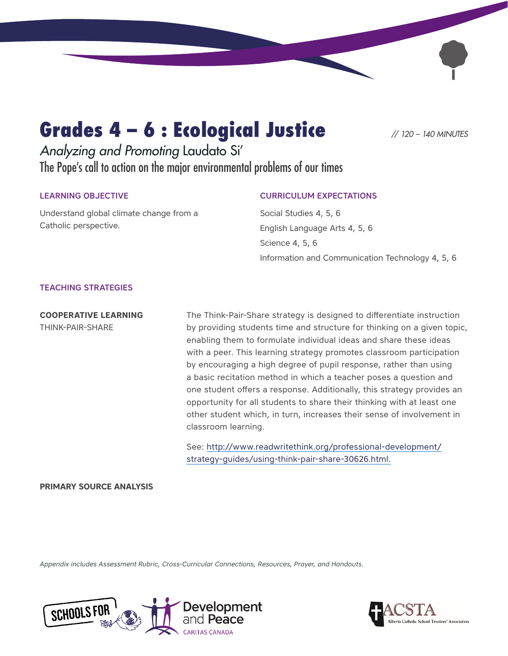# Grades 4 – 6 : Ecological Justice *// 120 – 140 MINUTES*

*Analyzing and Promoting* Laudato Si' The Pope's call to action on the major environmental problems of our times

#### LEARNING OBJECTIVE

Understand global climate change from a Catholic perspective.

### CURRICULUM EXPECTATIONS

Social Studies 4, 5, 6 English Language Arts 4, 5, 6 Science 4, 5, 6 Information and Communication Technology 4, 5, 6

#### TEACHING STRATEGIES

**COOPERATIVE LEARNING**  THINK-PAIR-SHARE

The Think-Pair-Share strategy is designed to differentiate instruction by providing students time and structure for thinking on a given topic, enabling them to formulate individual ideas and share these ideas with a peer. This learning strategy promotes classroom participation by encouraging a high degree of pupil response, rather than using a basic recitation method in which a teacher poses a question and one student offers a response. Additionally, this strategy provides an opportunity for all students to share their thinking with at least one other student which, in turn, increases their sense of involvement in classroom learning.

See: [http://www.readwritethink.org/professional-development/](http://www.readwritethink.org/professional-development/strategy-guides/using-think-pair-share-30626.html.) [strategy-guides/using-think-pair-share-30626.html.](http://www.readwritethink.org/professional-development/strategy-guides/using-think-pair-share-30626.html.)

#### **PRIMARY SOURCE ANALYSIS**

*Appendix includes Assessment Rubric, Cross-Curricular Connections, Resources, Prayer, and Handouts.*



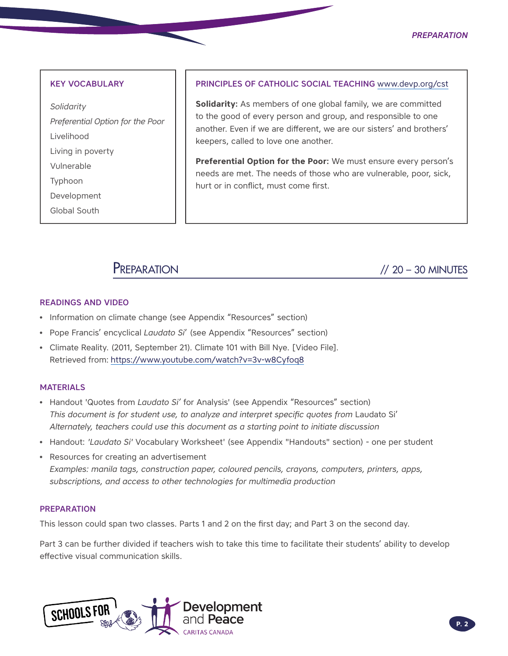#### *Preparation*

#### KEY VOCABULARY

*Solidarity Preferential Option for the Poor*  Livelihood Living in poverty Vulnerable Typhoon Development Global South

#### PRINCIPLES OF CATHOLIC SOCIAL TEACHING [www.devp.org/cst](http://www.devp.org/cst)

**Solidarity:** As members of one global family, we are committed to the good of every person and group, and responsible to one another. Even if we are different, we are our sisters' and brothers' keepers, called to love one another.

**Preferential Option for the Poor:** We must ensure every person's needs are met. The needs of those who are vulnerable, poor, sick, hurt or in conflict, must come first.

Preparation // 20 – 30 MINUTES

#### READINGS AND VIDEO

- Information on climate change (see Appendix "Resources" section)
- Pope Francis' encyclical *Laudato Si*' (see Appendix "Resources" section)
- Climate Reality. (2011, September 21). Climate 101 with Bill Nye. [Video File]. Retrieved from: <https://www.youtube.com/watch?v=3v-w8Cyfoq8>

#### **MATERIALS**

- Handout 'Quotes from *Laudato Si'* for Analysis' (see Appendix "Resources" section) *This document is for student use, to analyze and interpret specific quotes from* Laudato Si' *Alternately, teachers could use this document as a starting point to initiate discussion*
- Handout: *'Laudato Si'* Vocabulary Worksheet' (see Appendix "Handouts" section) one per student
- Resources for creating an advertisement *Examples: manila tags, construction paper, coloured pencils, crayons, computers, printers, apps, subscriptions, and access to other technologies for multimedia production*

#### PREPARATION

This lesson could span two classes. Parts 1 and 2 on the first day; and Part 3 on the second day.

Part 3 can be further divided if teachers wish to take this time to facilitate their students' ability to develop effective visual communication skills.

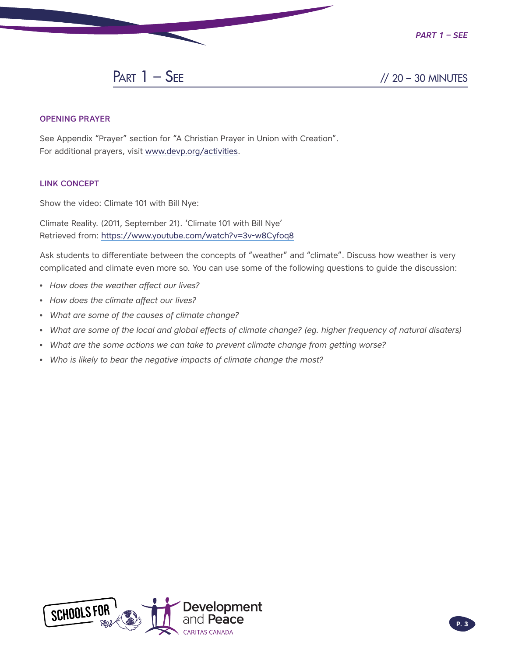

#### OPENING PRAYER

See Appendix "Prayer" section for "A Christian Prayer in Union with Creation". For additional prayers, visit [www.devp.org/activities.](http://www.devp.org/activities)

#### LINK CONCEPT

Show the video: Climate 101 with Bill Nye:

Climate Reality. (2011, September 21). 'Climate 101 with Bill Nye' Retrieved from:<https://www.youtube.com/watch?v=3v-w8Cyfoq8>

Ask students to differentiate between the concepts of "weather" and "climate". Discuss how weather is very complicated and climate even more so. You can use some of the following questions to guide the discussion:

- *How does the weather affect our lives?*
- *How does the climate affect our lives?*
- *What are some of the causes of climate change?*
- *What are some of the local and global effects of climate change? (eg. higher frequency of natural disaters)*
- *What are the some actions we can take to prevent climate change from getting worse?*
- *Who is likely to bear the negative impacts of climate change the most?*

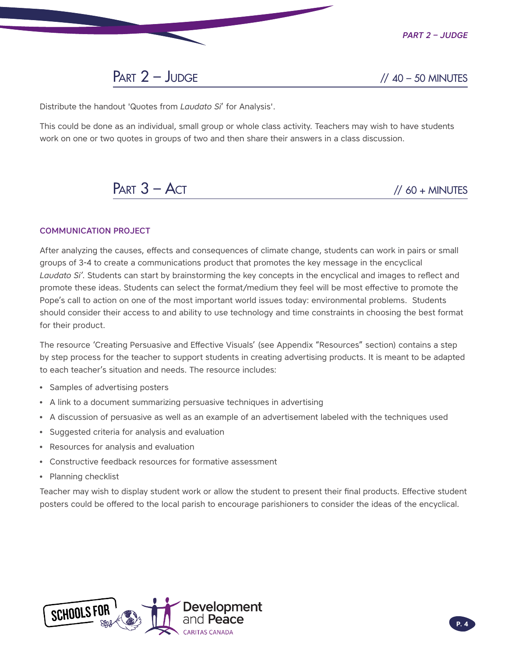

 $PART 2 - JUDGE$  // 40 – 50 MINUTES

Distribute the handout 'Quotes from *Laudato Si*' for Analysis'.

This could be done as an individual, small group or whole class activity. Teachers may wish to have students work on one or two quotes in groups of two and then share their answers in a class discussion.

 $PART 3 - ACT$  // 60 + MINUTES

#### COMMUNICATION PROJECT

After analyzing the causes, effects and consequences of climate change, students can work in pairs or small groups of 3-4 to create a communications product that promotes the key message in the encyclical *Laudato Si'*. Students can start by brainstorming the key concepts in the encyclical and images to reflect and promote these ideas. Students can select the format/medium they feel will be most effective to promote the Pope's call to action on one of the most important world issues today: environmental problems. Students should consider their access to and ability to use technology and time constraints in choosing the best format for their product.

The resource 'Creating Persuasive and Effective Visuals' (see Appendix "Resources" section) contains a step by step process for the teacher to support students in creating advertising products. It is meant to be adapted to each teacher's situation and needs. The resource includes:

- Samples of advertising posters
- A link to a document summarizing persuasive techniques in advertising
- A discussion of persuasive as well as an example of an advertisement labeled with the techniques used
- Suggested criteria for analysis and evaluation
- Resources for analysis and evaluation
- Constructive feedback resources for formative assessment
- Planning checklist

Teacher may wish to display student work or allow the student to present their final products. Effective student posters could be offered to the local parish to encourage parishioners to consider the ideas of the encyclical.

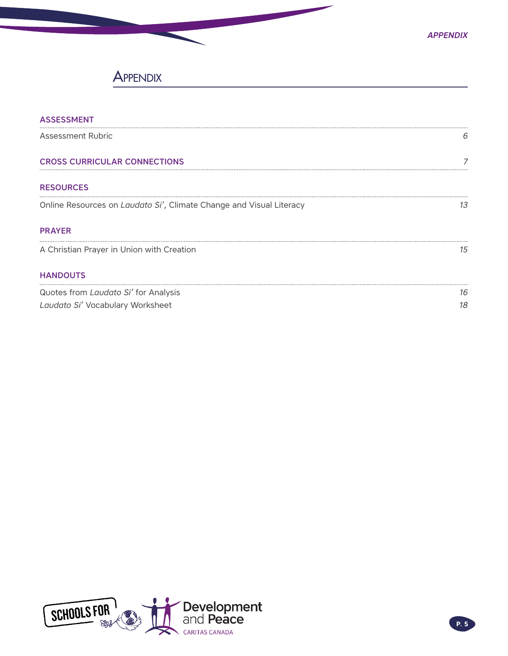## **APPENDIX**

| <b>ASSESSMENT</b>                                                   |    |
|---------------------------------------------------------------------|----|
| <b>Assessment Rubric</b>                                            | b  |
| <b>CROSS CURRICULAR CONNECTIONS</b>                                 |    |
| <b>RESOURCES</b>                                                    |    |
| Online Resources on Laudato Si', Climate Change and Visual Literacy | 13 |
| <b>PRAYER</b>                                                       |    |
| A Christian Prayer in Union with Creation                           | 15 |
| <b>HANDOUTS</b>                                                     |    |
| Quotes from Laudato Si' for Analysis                                | 16 |
| Laudato Si' Vocabulary Worksheet                                    | 18 |

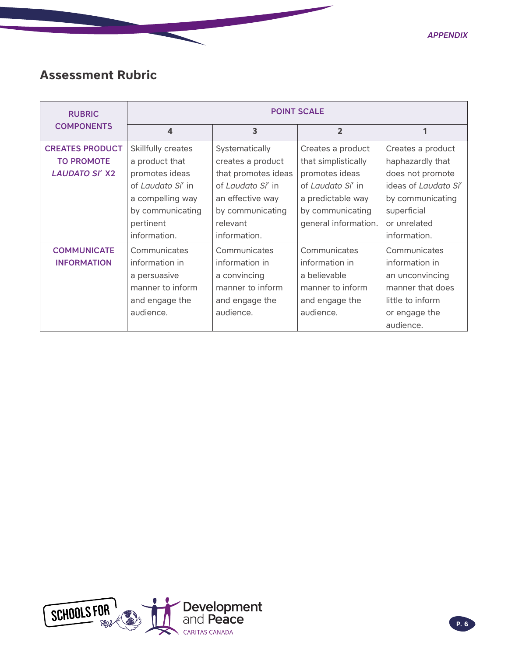## <span id="page-5-0"></span>**Assessment Rubric**

| <b>RUBRIC</b>          | <b>POINT SCALE</b> |                     |                      |                      |
|------------------------|--------------------|---------------------|----------------------|----------------------|
| <b>COMPONENTS</b>      | $\boldsymbol{4}$   | 3                   | $\overline{2}$       | 1                    |
| <b>CREATES PRODUCT</b> | Skillfully creates | Systematically      | Creates a product    | Creates a product    |
| <b>TO PROMOTE</b>      | a product that     | creates a product   | that simplistically  | haphazardly that     |
| <b>LAUDATO SI' X2</b>  | promotes ideas     | that promotes ideas | promotes ideas       | does not promote     |
|                        | of Laudato Si' in  | of Laudato Si' in   | of Laudato Si' in    | ideas of Laudato Si' |
|                        | a compelling way   | an effective way    | a predictable way    | by communicating     |
|                        | by communicating   | by communicating    | by communicating     | superficial          |
|                        | pertinent          | relevant            | general information. | or unrelated         |
|                        | information.       | information.        |                      | information.         |
| <b>COMMUNICATE</b>     | Communicates       | Communicates        | Communicates         | Communicates         |
| <b>INFORMATION</b>     | information in     | information in      | information in       | information in       |
|                        | a persuasive       | a convincing        | a believable         | an unconvincing      |
|                        | manner to inform   | manner to inform    | manner to inform     | manner that does     |
|                        | and engage the     | and engage the      | and engage the       | little to inform     |
|                        | audience.          | audience.           | audience.            | or engage the        |
|                        |                    |                     |                      | audience.            |

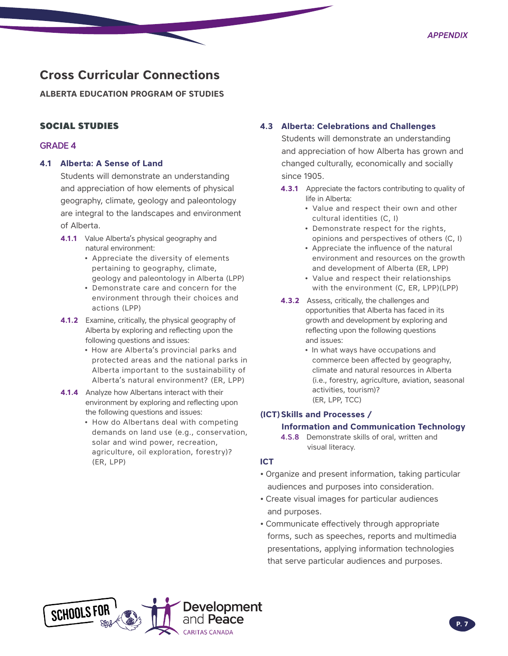## <span id="page-6-0"></span>**Cross Curricular Connections**

**ALBERTA EDUCATION PROGRAM OF STUDIES** 

### SOCIAL STUDIES

#### GRADE 4

#### **4.1 Alberta: A Sense of Land**

Students will demonstrate an understanding and appreciation of how elements of physical geography, climate, geology and paleontology are integral to the landscapes and environment of Alberta.

- **4.1.1** Value Alberta's physical geography and natural environment:
	- Appreciate the diversity of elements pertaining to geography, climate, geology and paleontology in Alberta (LPP)
	- Demonstrate care and concern for the environment through their choices and actions (LPP)
- **4.1.2** Examine, critically, the physical geography of Alberta by exploring and reflecting upon the following questions and issues:
	- How are Alberta's provincial parks and protected areas and the national parks in Alberta important to the sustainability of Alberta's natural environment? (ER, LPP)
- **4.1.4** Analyze how Albertans interact with their environment by exploring and reflecting upon the following questions and issues:
	- How do Albertans deal with competing demands on land use (e.g., conservation, solar and wind power, recreation, agriculture, oil exploration, forestry)? (ER, LPP)

#### **4.3 Alberta: Celebrations and Challenges**

Students will demonstrate an understanding and appreciation of how Alberta has grown and changed culturally, economically and socially since 1905.

- **4.3.1** Appreciate the factors contributing to quality of life in Alberta:
	- Value and respect their own and other cultural identities (C, I)
	- Demonstrate respect for the rights, opinions and perspectives of others (C, I)
	- Appreciate the influence of the natural environment and resources on the growth and development of Alberta (ER, LPP)
	- Value and respect their relationships with the environment (C, ER, LPP)(LPP)
- **4.3.2** Assess, critically, the challenges and opportunities that Alberta has faced in its growth and development by exploring and reflecting upon the following questions and issues:
	- In what ways have occupations and commerce been affected by geography, climate and natural resources in Alberta (i.e., forestry, agriculture, aviation, seasonal activities, tourism)? (ER, LPP, TCC)

#### **(ICT) Skills and Processes /**

#### **Information and Communication Technology**

4.S.8 Demonstrate skills of oral, written and visual literacy.

#### **ICT**

- Organize and present information, taking particular audiences and purposes into consideration.
- Create visual images for particular audiences and purposes.
- Communicate effectively through appropriate forms, such as speeches, reports and multimedia presentations, applying information technologies that serve particular audiences and purposes.

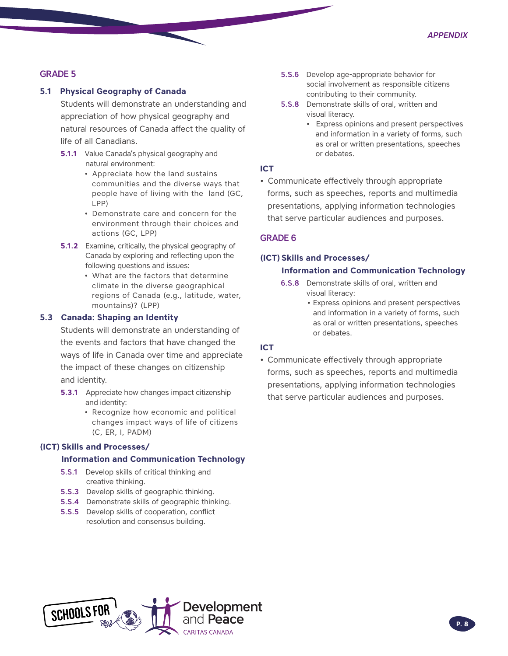#### GRADE 5

#### **5.1 Physical Geography of Canada**

Students will demonstrate an understanding and appreciation of how physical geography and natural resources of Canada affect the quality of life of all Canadians.

- **5.1.1** Value Canada's physical geography and natural environment:
	- Appreciate how the land sustains communities and the diverse ways that people have of living with the land (GC, LPP)
	- Demonstrate care and concern for the environment through their choices and actions (GC, LPP)
- **5.1.2** Examine, critically, the physical geography of Canada by exploring and reflecting upon the following questions and issues:
	- What are the factors that determine climate in the diverse geographical regions of Canada (e.g., latitude, water, mountains)? (LPP)

#### **5.3 Canada: Shaping an Identity**

Students will demonstrate an understanding of the events and factors that have changed the ways of life in Canada over time and appreciate the impact of these changes on citizenship and identity.

- **5.3.1** Appreciate how changes impact citizenship and identity:
	- Recognize how economic and political changes impact ways of life of citizens (C, ER, I, PADM)

#### **(ICT) Skills and Processes/**

#### **Information and Communication Technology**

- 5.S.1 Develop skills of critical thinking and creative thinking.
- 5.S.3 Develop skills of geographic thinking.
- 5.S.4 Demonstrate skills of geographic thinking.
- 5.S.5 Develop skills of cooperation, conflict resolution and consensus building.
- 5.S.6 Develop age-appropriate behavior for social involvement as responsible citizens contributing to their community.
- 5.S.8 Demonstrate skills of oral, written and visual literacy.
	- **•** Express opinions and present perspectives and information in a variety of forms, such as oral or written presentations, speeches or debates.

#### **ICT**

• Communicate effectively through appropriate forms, such as speeches, reports and multimedia presentations, applying information technologies that serve particular audiences and purposes.

#### GRADE 6

#### **(ICT) Skills and Processes/**

#### **Information and Communication Technology**

- 6.S.8 Demonstrate skills of oral, written and visual literacy:
	- **•** Express opinions and present perspectives and information in a variety of forms, such as oral or written presentations, speeches or debates.

#### **ICT**

• Communicate effectively through appropriate forms, such as speeches, reports and multimedia presentations, applying information technologies that serve particular audiences and purposes.

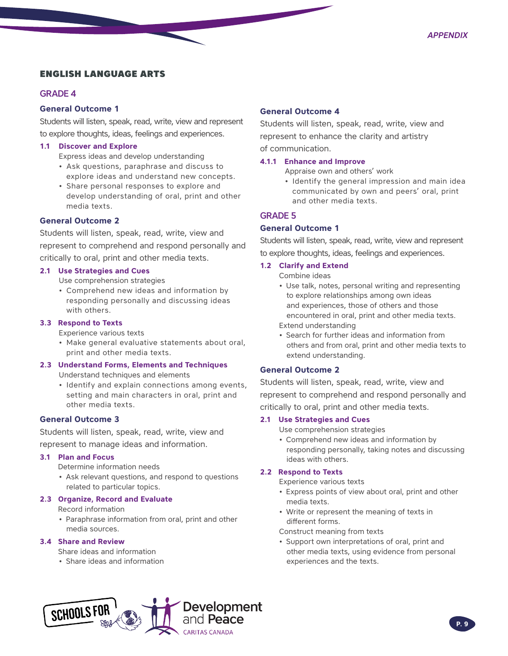#### ENGLISH LANGUAGE ARTS

#### GRADE 4

#### **General Outcome 1**

Students will listen, speak, read, write, view and represent to explore thoughts, ideas, feelings and experiences.

#### **1.1 Discover and Explore**

Express ideas and develop understanding

- Ask questions, paraphrase and discuss to explore ideas and understand new concepts.
- Share personal responses to explore and develop understanding of oral, print and other media texts.

#### **General Outcome 2**

Students will listen, speak, read, write, view and represent to comprehend and respond personally and critically to oral, print and other media texts.

#### **2.1 Use Strategies and Cues**

Use comprehension strategies

• Comprehend new ideas and information by responding personally and discussing ideas with others.

#### **3.3 Respond to Texts**

Experience various texts

• Make general evaluative statements about oral, print and other media texts.

#### **2.3 Understand Forms, Elements and Techniques**

Understand techniques and elements

• Identify and explain connections among events, setting and main characters in oral, print and other media texts.

#### **General Outcome 3**

Students will listen, speak, read, write, view and represent to manage ideas and information.

#### **3.1 Plan and Focus**

Determine information needs

• Ask relevant questions, and respond to questions related to particular topics.

#### **2.3 Organize, Record and Evaluate**

Record information

• Paraphrase information from oral, print and other media sources.

#### **3.4 Share and Review**

Share ideas and information

• Share ideas and information

#### **General Outcome 4**

Students will listen, speak, read, write, view and represent to enhance the clarity and artistry of communication.

#### **4.1.1 Enhance and Improve**

- Appraise own and others' work
- Identify the general impression and main idea communicated by own and peers' oral, print and other media texts.

#### GRADE 5

#### **General Outcome 1**

Students will listen, speak, read, write, view and represent to explore thoughts, ideas, feelings and experiences.

#### **1.2 Clarify and Extend**

Combine ideas

- Use talk, notes, personal writing and representing to explore relationships among own ideas and experiences, those of others and those encountered in oral, print and other media texts. Extend understanding
- 
- Search for further ideas and information from others and from oral, print and other media texts to extend understanding.

#### **General Outcome 2**

Students will listen, speak, read, write, view and represent to comprehend and respond personally and critically to oral, print and other media texts.

#### **2.1 Use Strategies and Cues**

Use comprehension strategies

• Comprehend new ideas and information by responding personally, taking notes and discussing ideas with others.

#### **2.2 Respond to Texts**

Experience various texts

- Express points of view about oral, print and other media texts.
- Write or represent the meaning of texts in different forms.

Construct meaning from texts

• Support own interpretations of oral, print and other media texts, using evidence from personal experiences and the texts.

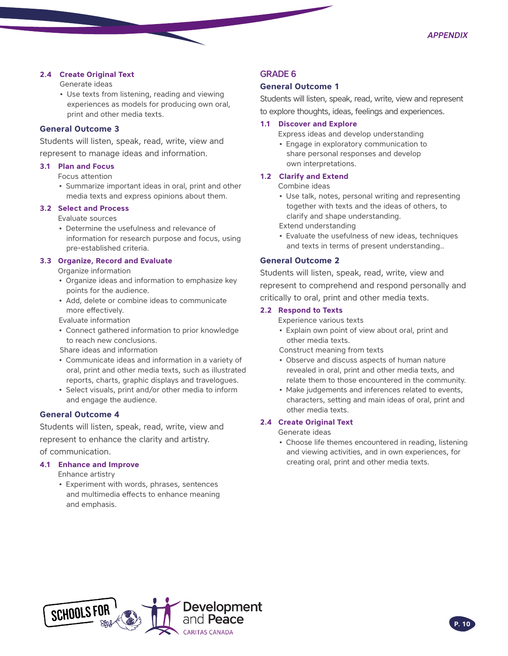#### **2.4 Create Original Text**

Generate ideas

• Use texts from listening, reading and viewing experiences as models for producing own oral, print and other media texts.

#### **General Outcome 3**

Students will listen, speak, read, write, view and represent to manage ideas and information.

#### **3.1 Plan and Focus**

Focus attention

• Summarize important ideas in oral, print and other media texts and express opinions about them.

#### **3.2 Select and Process**

Evaluate sources

• Determine the usefulness and relevance of information for research purpose and focus, using pre-established criteria.

#### **3.3 Organize, Record and Evaluate**

Organize information

- Organize ideas and information to emphasize key points for the audience.
- Add, delete or combine ideas to communicate more effectively.

Evaluate information

• Connect gathered information to prior knowledge to reach new conclusions.

Share ideas and information

- Communicate ideas and information in a variety of oral, print and other media texts, such as illustrated reports, charts, graphic displays and travelogues.
- Select visuals, print and/or other media to inform and engage the audience.

#### **General Outcome 4**

Students will listen, speak, read, write, view and represent to enhance the clarity and artistry. of communication.

#### **4.1 Enhance and Improve**

Enhance artistry

• Experiment with words, phrases, sentences and multimedia effects to enhance meaning and emphasis.

#### GRADE 6

#### **General Outcome 1**

Students will listen, speak, read, write, view and represent to explore thoughts, ideas, feelings and experiences.

#### **1.1 Discover and Explore**

- Express ideas and develop understanding
- Engage in exploratory communication to share personal responses and develop own interpretations.

#### **1.2 Clarify and Extend**

- Combine ideas
- Use talk, notes, personal writing and representing together with texts and the ideas of others, to clarify and shape understanding.

Extend understanding

• Evaluate the usefulness of new ideas, techniques and texts in terms of present understanding..

#### **General Outcome 2**

Students will listen, speak, read, write, view and represent to comprehend and respond personally and critically to oral, print and other media texts.

#### **2.2 Respond to Texts**

Experience various texts

• Explain own point of view about oral, print and other media texts.

Construct meaning from texts

- Observe and discuss aspects of human nature revealed in oral, print and other media texts, and relate them to those encountered in the community.
- Make judgements and inferences related to events, characters, setting and main ideas of oral, print and other media texts.

#### **2.4 Create Original Text**

Generate ideas

• Choose life themes encountered in reading, listening and viewing activities, and in own experiences, for creating oral, print and other media texts.

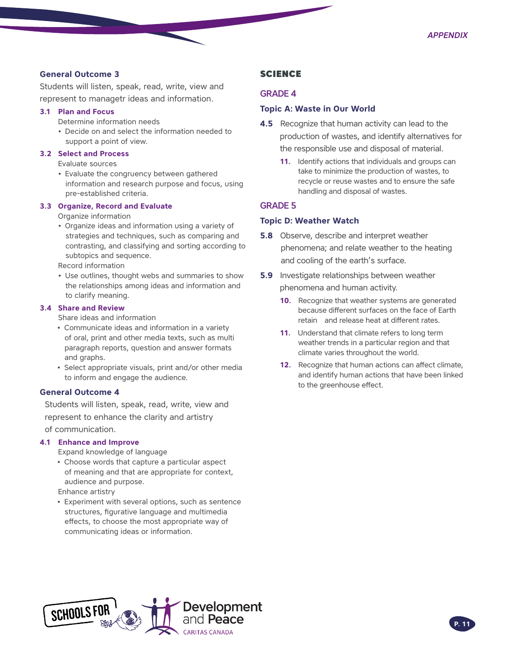#### **General Outcome 3**

Students will listen, speak, read, write, view and represent to managetr ideas and information.

#### **3.1 Plan and Focus**

- Determine information needs
- Decide on and select the information needed to support a point of view.

#### **3.2 Select and Process**

Evaluate sources

• Evaluate the congruency between gathered information and research purpose and focus, using pre-established criteria.

#### **3.3 Organize, Record and Evaluate**

Organize information

• Organize ideas and information using a variety of strategies and techniques, such as comparing and contrasting, and classifying and sorting according to subtopics and sequence.

Record information

• Use outlines, thought webs and summaries to show the relationships among ideas and information and to clarify meaning.

#### **3.4 Share and Review**

Share ideas and information

- Communicate ideas and information in a variety of oral, print and other media texts, such as multi paragraph reports, question and answer formats and graphs.
- Select appropriate visuals, print and/or other media to inform and engage the audience.

#### **General Outcome 4**

Students will listen, speak, read, write, view and represent to enhance the clarity and artistry of communication.

#### **4.1 Enhance and Improve**

Expand knowledge of language

• Choose words that capture a particular aspect of meaning and that are appropriate for context, audience and purpose.

Enhance artistry

• Experiment with several options, such as sentence structures, figurative language and multimedia effects, to choose the most appropriate way of communicating ideas or information.

#### **SCIENCE**

#### GRADE 4

#### **Topic A: Waste in Our World**

- **4.5** Recognize that human activity can lead to the production of wastes, and identify alternatives for the responsible use and disposal of material.
	- **11.** Identify actions that individuals and groups can take to minimize the production of wastes, to recycle or reuse wastes and to ensure the safe handling and disposal of wastes.

#### GRADE 5

#### **Topic D: Weather Watch**

- **5.8** Observe, describe and interpret weather phenomena; and relate weather to the heating and cooling of the earth's surface.
- **5.9** Investigate relationships between weather phenomena and human activity.
	- **10.** Recognize that weather systems are generated because different surfaces on the face of Earth retain and release heat at different rates.
	- **11.** Understand that climate refers to long term weather trends in a particular region and that climate varies throughout the world.
	- **12.** Recognize that human actions can affect climate, and identify human actions that have been linked to the greenhouse effect.

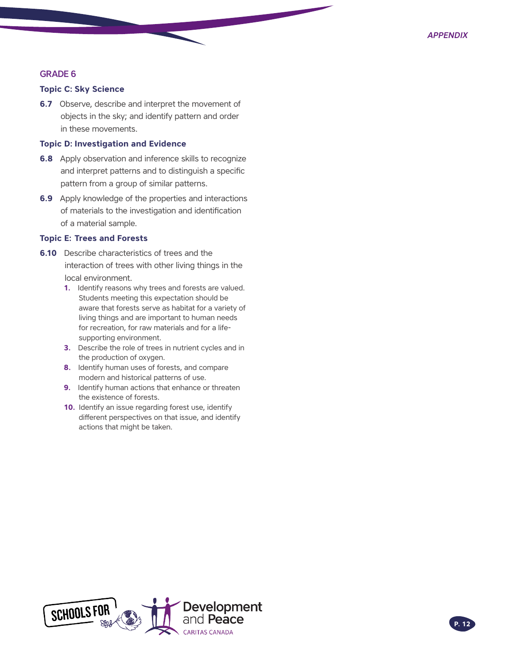#### GRADE 6

#### **Topic C: Sky Science**

**6.7** Observe, describe and interpret the movement of objects in the sky; and identify pattern and order in these movements.

#### **Topic D: Investigation and Evidence**

- **6.8** Apply observation and inference skills to recognize and interpret patterns and to distinguish a specific pattern from a group of similar patterns.
- **6.9** Apply knowledge of the properties and interactions of materials to the investigation and identification of a material sample.

#### **Topic E: Trees and Forests**

- **6.10** Describe characteristics of trees and the interaction of trees with other living things in the local environment.
	- **1.** Identify reasons why trees and forests are valued. Students meeting this expectation should be aware that forests serve as habitat for a variety of living things and are important to human needs for recreation, for raw materials and for a lifesupporting environment.
	- **3.** Describe the role of trees in nutrient cycles and in the production of oxygen.
	- **8.** Identify human uses of forests, and compare modern and historical patterns of use.
	- **9.** Identify human actions that enhance or threaten the existence of forests.
	- **10.** Identify an issue regarding forest use, identify different perspectives on that issue, and identify actions that might be taken.

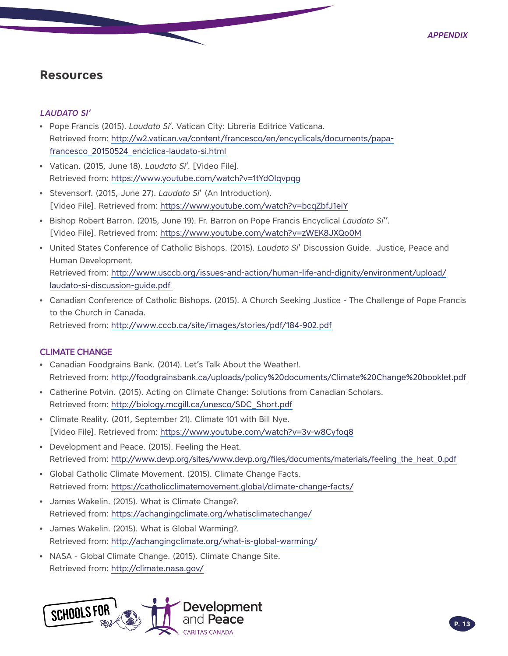### <span id="page-12-0"></span>**Resources**

#### LAUDATO SI'

- Pope Francis (2015). *Laudato Si*'. Vatican City: Libreria Editrice Vaticana. Retrieved from: [http://w2.vatican.va/content/francesco/en/encyclicals/documents/papa](http://w2.vatican.va/content/francesco/en/encyclicals/documents/papa-francesco_20150524_enciclica-laudato-si.html)[francesco\\_20150524\\_enciclica-laudato-si.html](http://w2.vatican.va/content/francesco/en/encyclicals/documents/papa-francesco_20150524_enciclica-laudato-si.html)
- Vatican. (2015, June 18). *Laudato Si*'. [Video File]. Retrieved from:<https://www.youtube.com/watch?v=1tYdOIqvpqg>
- Stevensorf. (2015, June 27). *Laudato Si*' (An Introduction). [Video File]. Retrieved from:<https://www.youtube.com/watch?v=bcqZbfJ1eiY>
- Bishop Robert Barron. (2015, June 19). Fr. Barron on Pope Francis Encyclical *Laudato Si*''. [Video File]. Retrieved from:<https://www.youtube.com/watch?v=zWEK8JXQo0M>
- United States Conference of Catholic Bishops. (2015). *Laudato Si*' Discussion Guide. Justice, Peace and Human Development. Retrieved from: [http://www.usccb.org/issues-and-action/human-life-and-dignity/environment/upload/](http://www.usccb.org/issues-and-action/human-life-and-dignity/environment/upload/laudato-si-discussion-guide.pdf) [laudato-si-discussion-guide.pdf](http://www.usccb.org/issues-and-action/human-life-and-dignity/environment/upload/laudato-si-discussion-guide.pdf)
- Canadian Conference of Catholic Bishops. (2015). A Church Seeking Justice The Challenge of Pope Francis to the Church in Canada. Retrieved from:<http://www.cccb.ca/site/images/stories/pdf/184-902.pdf>

### CLIMATE CHANGE

- Canadian Foodgrains Bank. (2014). Let's Talk About the Weather!. Retrieved from: [http://foodgrainsbank.ca/uploads/policy%20documents/Climate%20Change%20booklet.pdf](http://foodgrainsbank.ca/uploads/policy%20documents/Climate%20Change%20booklet.pdf )
- Catherine Potvin. (2015). Acting on Climate Change: Solutions from Canadian Scholars. Retrieved from: [http://biology.mcgill.ca/unesco/SDC\\_Short.pdf](http://biology.mcgill.ca/unesco/SDC_Short.pdf)
- Climate Reality. (2011, September 21). Climate 101 with Bill Nye. [Video File]. Retrieved from:<https://www.youtube.com/watch?v=3v-w8Cyfoq8>
- Development and Peace. (2015). Feeling the Heat. Retrieved from: [http://www.devp.org/sites/www.devp.org/files/documents/materials/feeling\\_the\\_heat\\_0.pdf](http://www.devp.org/sites/www.devp.org/files/documents/materials/feeling_the_heat_0.pdf)
- Global Catholic Climate Movement. (2015). Climate Change Facts. Retrieved from:<https://catholicclimatemovement.global/climate-change-facts/>
- James Wakelin. (2015). What is Climate Change?. Retrieved from:<https://achangingclimate.org/whatisclimatechange/>
- James Wakelin. (2015). What is Global Warming?. Retrieved from: [http://achangingclimate.org/what-is-global-warming/](http://achangingclimate.org/what-is-global-warming/ )
- NASA Global Climate Change. (2015). Climate Change Site. Retrieved from:<http://climate.nasa.gov/>

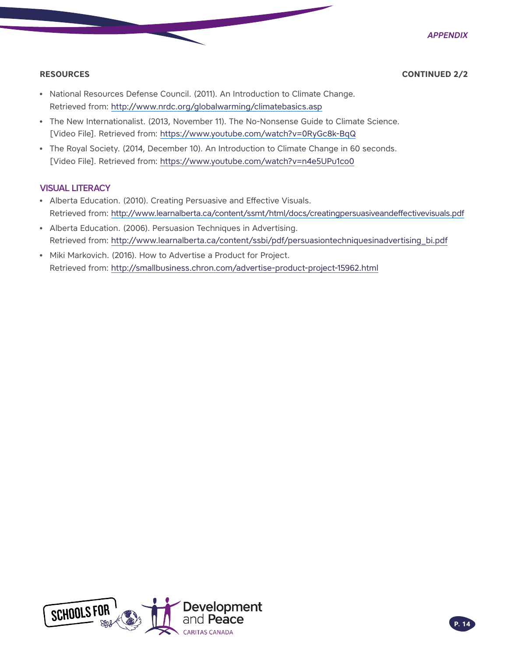**RESOURCES CONTINUED 2/2** 

- National Resources Defense Council. (2011). An Introduction to Climate Change. Retrieved from:<http://www.nrdc.org/globalwarming/climatebasics.asp>
- The New Internationalist. (2013, November 11). The No-Nonsense Guide to Climate Science. [Video File]. Retrieved from:<https://www.youtube.com/watch?v=0RyGc8k-BqQ>
- The Royal Society. (2014, December 10). An Introduction to Climate Change in 60 seconds. [Video File]. Retrieved from:<https://www.youtube.com/watch?v=n4e5UPu1co0>

#### VISUAL LITERACY

- Alberta Education. (2010). Creating Persuasive and Effective Visuals. Retrieved from:<http://www.learnalberta.ca/content/ssmt/html/docs/creatingpersuasiveandeffectivevisuals.pdf>
- Alberta Education. (2006). Persuasion Techniques in Advertising. Retrieved from: [http://www.learnalberta.ca/content/ssbi/pdf/persuasiontechniquesinadvertising\\_bi.pdf](http://www.learnalberta.ca/content/ssbi/pdf/persuasiontechniquesinadvertising_bi.pdf)
- Miki Markovich. (2016). How to Advertise a Product for Project. Retrieved from:<http://smallbusiness.chron.com/advertise-product-project-15962.html>

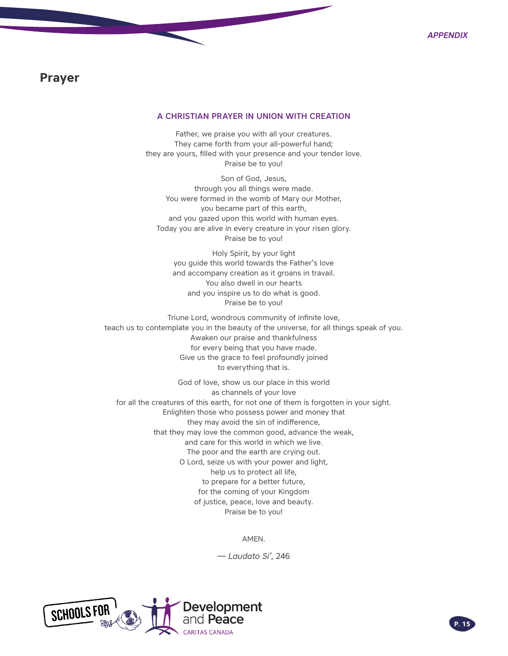### <span id="page-14-0"></span>**Prayer**

#### A CHRISTIAN PRAYER IN UNION WITH CREATION

Father, we praise you with all your creatures. They came forth from your all-powerful hand; they are yours, filled with your presence and your tender love. Praise be to you!

Son of God, Jesus, through you all things were made. You were formed in the womb of Mary our Mother, you became part of this earth, and you gazed upon this world with human eyes. Today you are alive in every creature in your risen glory. Praise be to you!

Holy Spirit, by your light you guide this world towards the Father's love and accompany creation as it groans in travail. You also dwell in our hearts and you inspire us to do what is good. Praise be to you!

Triune Lord, wondrous community of infinite love, teach us to contemplate you in the beauty of the universe, for all things speak of you. Awaken our praise and thankfulness for every being that you have made. Give us the grace to feel profoundly joined to everything that is.

God of love, show us our place in this world as channels of your love for all the creatures of this earth, for not one of them is forgotten in your sight. Enlighten those who possess power and money that they may avoid the sin of indifference, that they may love the common good, advance the weak, and care for this world in which we live. The poor and the earth are crying out. O Lord, seize us with your power and light, help us to protect all life, to prepare for a better future, for the coming of your Kingdom of justice, peace, love and beauty. Praise be to you!

AMEN.

— *Laudato Si'*, 246

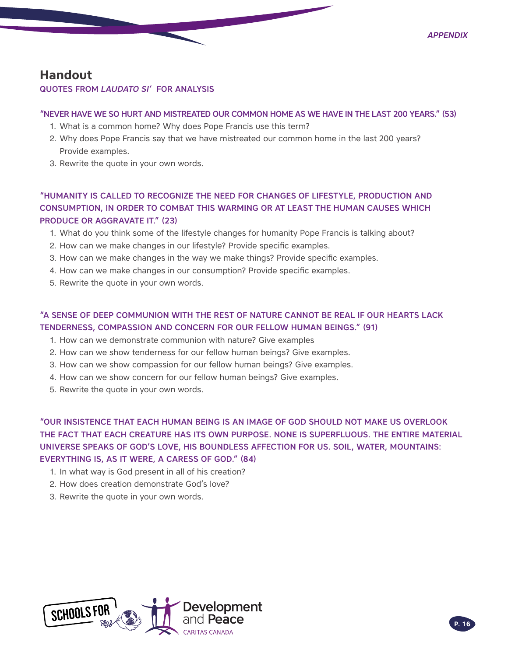### <span id="page-15-0"></span>**Handout**

#### QUOTES FROM *LAUDATO SI'* FOR ANALYSIS

#### "NEVER HAVE WE SO HURT AND MISTREATED OUR COMMON HOME AS WE HAVE IN THE LAST 200 YEARS." (53)

- 1. What is a common home? Why does Pope Francis use this term?
- 2. Why does Pope Francis say that we have mistreated our common home in the last 200 years? Provide examples.
- 3. Rewrite the quote in your own words.

### "HUMANITY IS CALLED TO RECOGNIZE THE NEED FOR CHANGES OF LIFESTYLE, PRODUCTION AND CONSUMPTION, IN ORDER TO COMBAT THIS WARMING OR AT LEAST THE HUMAN CAUSES WHICH PRODUCE OR AGGRAVATE IT." (23)

- 1. What do you think some of the lifestyle changes for humanity Pope Francis is talking about?
- 2. How can we make changes in our lifestyle? Provide specific examples.
- 3. How can we make changes in the way we make things? Provide specific examples.
- 4. How can we make changes in our consumption? Provide specific examples.
- 5. Rewrite the quote in your own words.

### "A SENSE OF DEEP COMMUNION WITH THE REST OF NATURE CANNOT BE REAL IF OUR HEARTS LACK TENDERNESS, COMPASSION AND CONCERN FOR OUR FELLOW HUMAN BEINGS." (91)

- 1. How can we demonstrate communion with nature? Give examples
- 2. How can we show tenderness for our fellow human beings? Give examples.
- 3. How can we show compassion for our fellow human beings? Give examples.
- 4. How can we show concern for our fellow human beings? Give examples.
- 5. Rewrite the quote in your own words.

"OUR INSISTENCE THAT EACH HUMAN BEING IS AN IMAGE OF GOD SHOULD NOT MAKE US OVERLOOK THE FACT THAT EACH CREATURE HAS ITS OWN PURPOSE. NONE IS SUPERFLUOUS. THE ENTIRE MATERIAL UNIVERSE SPEAKS OF GOD'S LOVE, HIS BOUNDLESS AFFECTION FOR US. SOIL, WATER, MOUNTAINS: EVERYTHING IS, AS IT WERE, A CARESS OF GOD." (84)

- 1. In what way is God present in all of his creation?
- 2. How does creation demonstrate God's love?
- 3. Rewrite the quote in your own words.

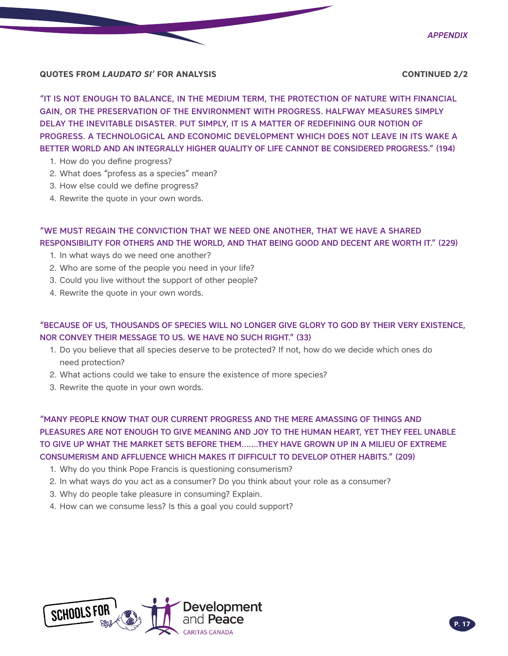

*Appendix*

### **QUOTES FROM** *LAUDATO SI'* **FOR ANALYSIS CONTINUED 2/2**

"IT IS NOT ENOUGH TO BALANCE, IN THE MEDIUM TERM, THE PROTECTION OF NATURE WITH FINANCIAL GAIN, OR THE PRESERVATION OF THE ENVIRONMENT WITH PROGRESS. HALFWAY MEASURES SIMPLY DELAY THE INEVITABLE DISASTER. PUT SIMPLY, IT IS A MATTER OF REDEFINING OUR NOTION OF PROGRESS. A TECHNOLOGICAL AND ECONOMIC DEVELOPMENT WHICH DOES NOT LEAVE IN ITS WAKE A BETTER WORLD AND AN INTEGRALLY HIGHER QUALITY OF LIFE CANNOT BE CONSIDERED PROGRESS." (194)

- 1. How do you define progress?
- 2. What does "profess as a species" mean?
- 3. How else could we define progress?
- 4. Rewrite the quote in your own words.

### "WE MUST REGAIN THE CONVICTION THAT WE NEED ONE ANOTHER, THAT WE HAVE A SHARED RESPONSIBILITY FOR OTHERS AND THE WORLD, AND THAT BEING GOOD AND DECENT ARE WORTH IT." (229)

- 1. In what ways do we need one another?
- 2. Who are some of the people you need in your life?
- 3. Could you live without the support of other people?
- 4. Rewrite the quote in your own words.

### "BECAUSE OF US, THOUSANDS OF SPECIES WILL NO LONGER GIVE GLORY TO GOD BY THEIR VERY EXISTENCE, NOR CONVEY THEIR MESSAGE TO US. WE HAVE NO SUCH RIGHT." (33)

- 1. Do you believe that all species deserve to be protected? If not, how do we decide which ones do need protection?
- 2. What actions could we take to ensure the existence of more species?
- 3. Rewrite the quote in your own words.

"MANY PEOPLE KNOW THAT OUR CURRENT PROGRESS AND THE MERE AMASSING OF THINGS AND PLEASURES ARE NOT ENOUGH TO GIVE MEANING AND JOY TO THE HUMAN HEART, YET THEY FEEL UNABLE TO GIVE UP WHAT THE MARKET SETS BEFORE THEM…….THEY HAVE GROWN UP IN A MILIEU OF EXTREME CONSUMERISM AND AFFLUENCE WHICH MAKES IT DIFFICULT TO DEVELOP OTHER HABITS." (209)

- 1. Why do you think Pope Francis is questioning consumerism?
- 2. In what ways do you act as a consumer? Do you think about your role as a consumer?
- 3. Why do people take pleasure in consuming? Explain.
- 4. How can we consume less? Is this a goal you could support?